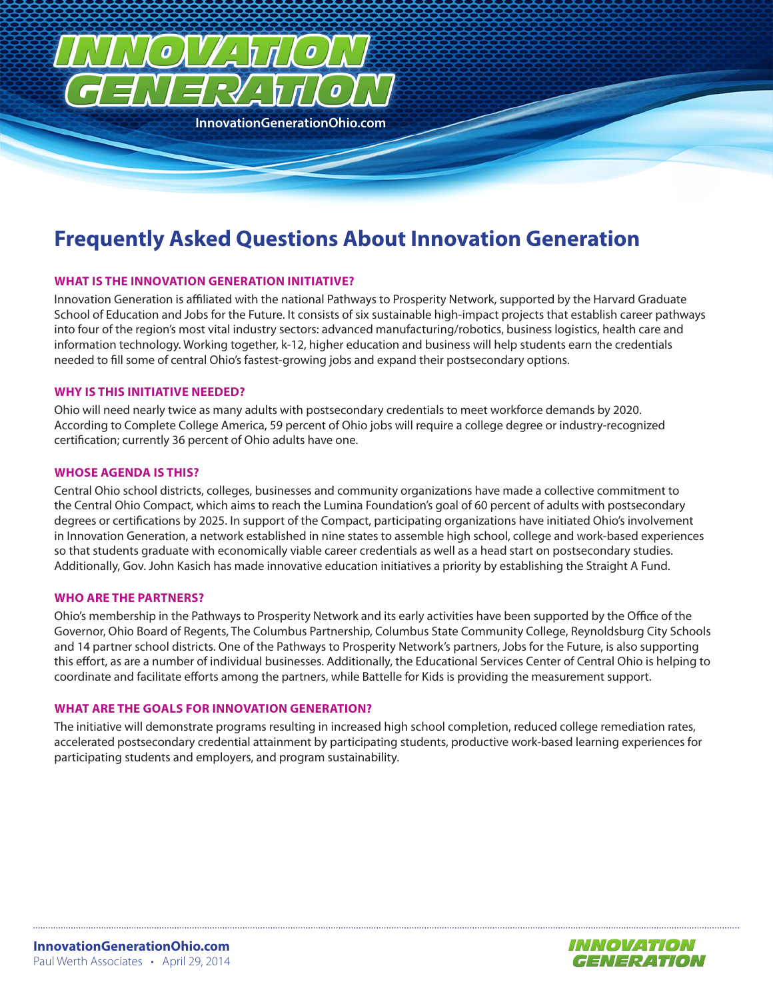

# **Frequently Asked Questions About Innovation Generation**

## **WHAT IS THE INNOVATION GENERATION INITIATIVE?**

Innovation Generation is affiliated with the national Pathways to Prosperity Network, supported by the Harvard Graduate School of Education and Jobs for the Future. It consists of six sustainable high-impact projects that establish career pathways into four of the region's most vital industry sectors: advanced manufacturing/robotics, business logistics, health care and information technology. Working together, k-12, higher education and business will help students earn the credentials needed to fill some of central Ohio's fastest-growing jobs and expand their postsecondary options.

#### **WHY IS THIS INITIATIVE NEEDED?**

Ohio will need nearly twice as many adults with postsecondary credentials to meet workforce demands by 2020. According to Complete College America, 59 percent of Ohio jobs will require a college degree or industry-recognized certification; currently 36 percent of Ohio adults have one.

## **WHOSE AGENDA IS THIS?**

Central Ohio school districts, colleges, businesses and community organizations have made a collective commitment to the Central Ohio Compact, which aims to reach the Lumina Foundation's goal of 60 percent of adults with postsecondary degrees or certifications by 2025. In support of the Compact, participating organizations have initiated Ohio's involvement in Innovation Generation, a network established in nine states to assemble high school, college and work-based experiences so that students graduate with economically viable career credentials as well as a head start on postsecondary studies. Additionally, Gov. John Kasich has made innovative education initiatives a priority by establishing the Straight A Fund.

#### **WHO ARE THE PARTNERS?**

Ohio's membership in the Pathways to Prosperity Network and its early activities have been supported by the Office of the Governor, Ohio Board of Regents, The Columbus Partnership, Columbus State Community College, Reynoldsburg City Schools and 14 partner school districts. One of the Pathways to Prosperity Network's partners, Jobs for the Future, is also supporting this effort, as are a number of individual businesses. Additionally, the Educational Services Center of Central Ohio is helping to coordinate and facilitate efforts among the partners, while Battelle for Kids is providing the measurement support.

## **WHAT ARE THE GOALS FOR INNOVATION GENERATION?**

The initiative will demonstrate programs resulting in increased high school completion, reduced college remediation rates, accelerated postsecondary credential attainment by participating students, productive work-based learning experiences for participating students and employers, and program sustainability.

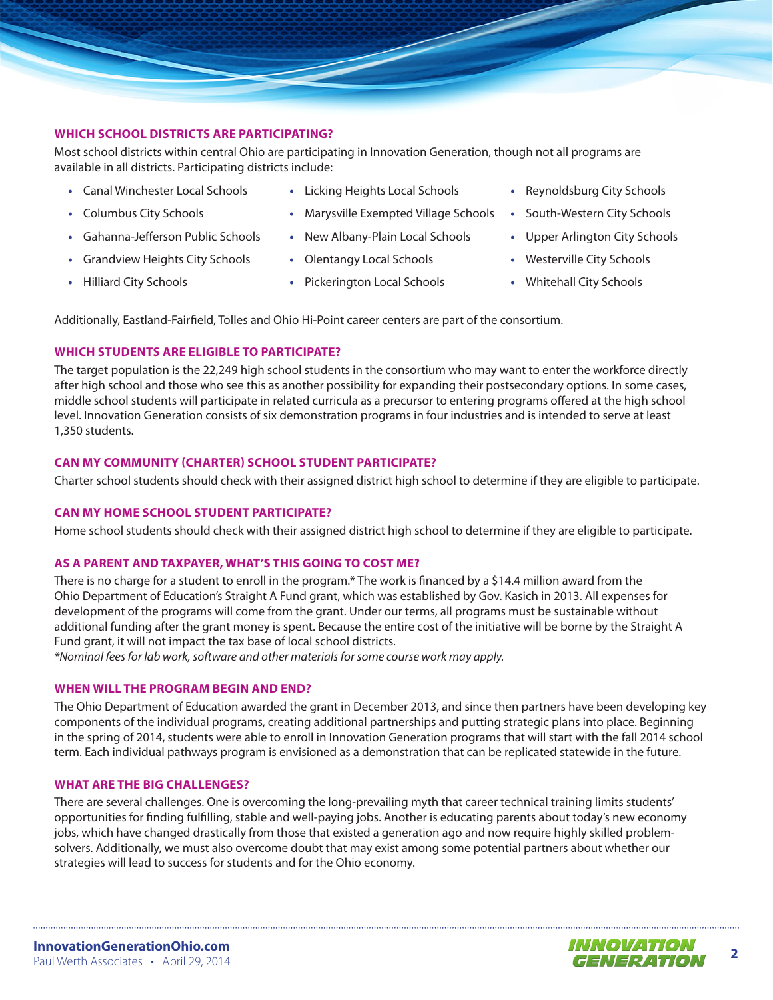

# **WHICH SCHOOL DISTRICTS ARE PARTICIPATING?**

Most school districts within central Ohio are participating in Innovation Generation, though not all programs are available in all districts. Participating districts include:

- **•** Canal Winchester Local Schools
- **•** Columbus City Schools
- **•** Gahanna-Jefferson Public Schools
- **•** Grandview Heights City Schools
- **•** Hilliard City Schools
- **•** Licking Heights Local Schools
- **•** Marysville Exempted Village Schools
- **•** New Albany-Plain Local Schools
- **•** Olentangy Local Schools
- **•** Pickerington Local Schools
- **•** Reynoldsburg City Schools
- **•** South-Western City Schools
- **•** Upper Arlington City Schools
- **•** Westerville City Schools
- **•** Whitehall City Schools

Additionally, Eastland-Fairfield, Tolles and Ohio Hi-Point career centers are part of the consortium.

# **WHICH STUDENTS ARE ELIGIBLE TO PARTICIPATE?**

The target population is the 22,249 high school students in the consortium who may want to enter the workforce directly after high school and those who see this as another possibility for expanding their postsecondary options. In some cases, middle school students will participate in related curricula as a precursor to entering programs offered at the high school level. Innovation Generation consists of six demonstration programs in four industries and is intended to serve at least 1,350 students.

# **CAN MY COMMUNITY (CHARTER) SCHOOL STUDENT PARTICIPATE?**

Charter school students should check with their assigned district high school to determine if they are eligible to participate.

# **CAN MY HOME SCHOOL STUDENT PARTICIPATE?**

Home school students should check with their assigned district high school to determine if they are eligible to participate.

# **AS A PARENT AND TAXPAYER, WHAT'S THIS GOING TO COST ME?**

There is no charge for a student to enroll in the program.\* The work is financed by a \$14.4 million award from the Ohio Department of Education's Straight A Fund grant, which was established by Gov. Kasich in 2013. All expenses for development of the programs will come from the grant. Under our terms, all programs must be sustainable without additional funding after the grant money is spent. Because the entire cost of the initiative will be borne by the Straight A Fund grant, it will not impact the tax base of local school districts.

*\*Nominal fees for lab work, software and other materials for some course work may apply.*

# **WHEN WILL THE PROGRAM BEGIN AND END?**

The Ohio Department of Education awarded the grant in December 2013, and since then partners have been developing key components of the individual programs, creating additional partnerships and putting strategic plans into place. Beginning in the spring of 2014, students were able to enroll in Innovation Generation programs that will start with the fall 2014 school term. Each individual pathways program is envisioned as a demonstration that can be replicated statewide in the future.

# **WHAT ARE THE BIG CHALLENGES?**

There are several challenges. One is overcoming the long-prevailing myth that career technical training limits students' opportunities for finding fulfilling, stable and well-paying jobs. Another is educating parents about today's new economy jobs, which have changed drastically from those that existed a generation ago and now require highly skilled problemsolvers. Additionally, we must also overcome doubt that may exist among some potential partners about whether our strategies will lead to success for students and for the Ohio economy.

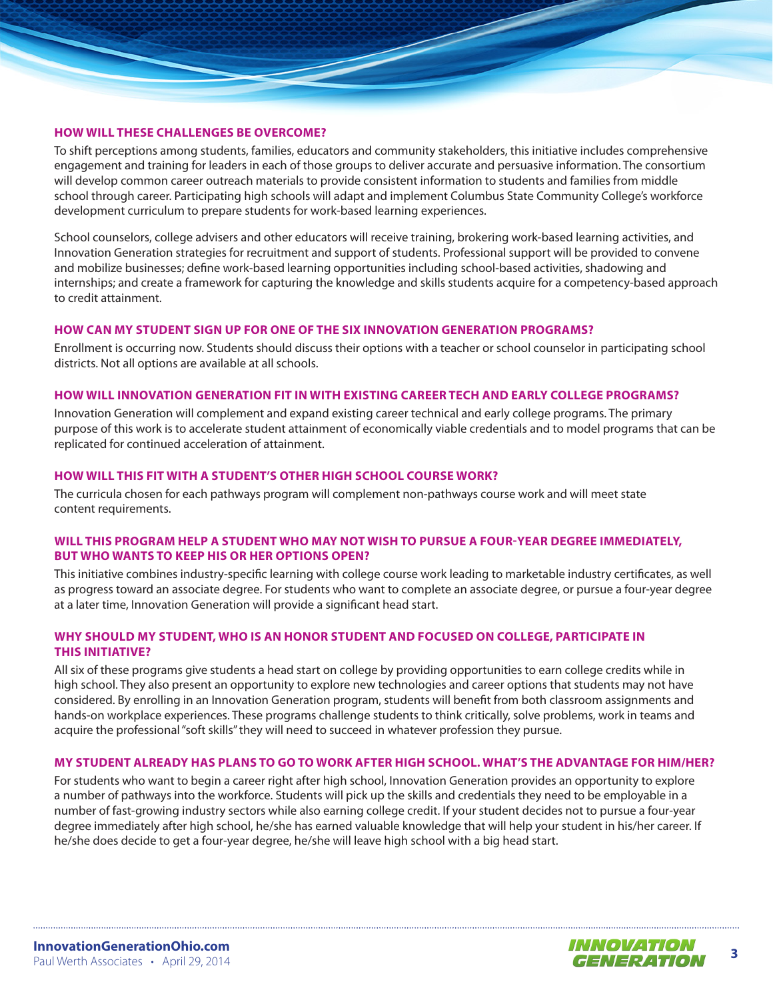

To shift perceptions among students, families, educators and community stakeholders, this initiative includes comprehensive engagement and training for leaders in each of those groups to deliver accurate and persuasive information. The consortium will develop common career outreach materials to provide consistent information to students and families from middle school through career. Participating high schools will adapt and implement Columbus State Community College's workforce development curriculum to prepare students for work-based learning experiences.

School counselors, college advisers and other educators will receive training, brokering work-based learning activities, and Innovation Generation strategies for recruitment and support of students. Professional support will be provided to convene and mobilize businesses; define work-based learning opportunities including school-based activities, shadowing and internships; and create a framework for capturing the knowledge and skills students acquire for a competency-based approach to credit attainment.

#### **HOW CAN MY STUDENT SIGN UP FOR ONE OF THE SIX INNOVATION GENERATION PROGRAMS?**

Enrollment is occurring now. Students should discuss their options with a teacher or school counselor in participating school districts. Not all options are available at all schools.

## **HOW WILL INNOVATION GENERATION FIT IN WITH EXISTING CAREER TECH AND EARLY COLLEGE PROGRAMS?**

Innovation Generation will complement and expand existing career technical and early college programs. The primary purpose of this work is to accelerate student attainment of economically viable credentials and to model programs that can be replicated for continued acceleration of attainment.

## **HOW WILL THIS FIT WITH A STUDENT'S OTHER HIGH SCHOOL COURSE WORK?**

The curricula chosen for each pathways program will complement non-pathways course work and will meet state content requirements.

# **WILL THIS PROGRAM HELP A STUDENT WHO MAY NOT WISH TO PURSUE A FOUR-YEAR DEGREE IMMEDIATELY, BUT WHO WANTS TO KEEP HIS OR HER OPTIONS OPEN?**

This initiative combines industry-specific learning with college course work leading to marketable industry certificates, as well as progress toward an associate degree. For students who want to complete an associate degree, or pursue a four-year degree at a later time, Innovation Generation will provide a significant head start.

## **WHY SHOULD MY STUDENT, WHO IS AN HONOR STUDENT AND FOCUSED ON COLLEGE, PARTICIPATE IN THIS INITIATIVE?**

All six of these programs give students a head start on college by providing opportunities to earn college credits while in high school. They also present an opportunity to explore new technologies and career options that students may not have considered. By enrolling in an Innovation Generation program, students will benefit from both classroom assignments and hands-on workplace experiences. These programs challenge students to think critically, solve problems, work in teams and acquire the professional "soft skills" they will need to succeed in whatever profession they pursue.

#### **MY STUDENT ALREADY HAS PLANS TO GO TO WORK AFTER HIGH SCHOOL. WHAT'S THE ADVANTAGE FOR HIM/HER?**

For students who want to begin a career right after high school, Innovation Generation provides an opportunity to explore a number of pathways into the workforce. Students will pick up the skills and credentials they need to be employable in a number of fast-growing industry sectors while also earning college credit. If your student decides not to pursue a four-year degree immediately after high school, he/she has earned valuable knowledge that will help your student in his/her career. If he/she does decide to get a four-year degree, he/she will leave high school with a big head start.

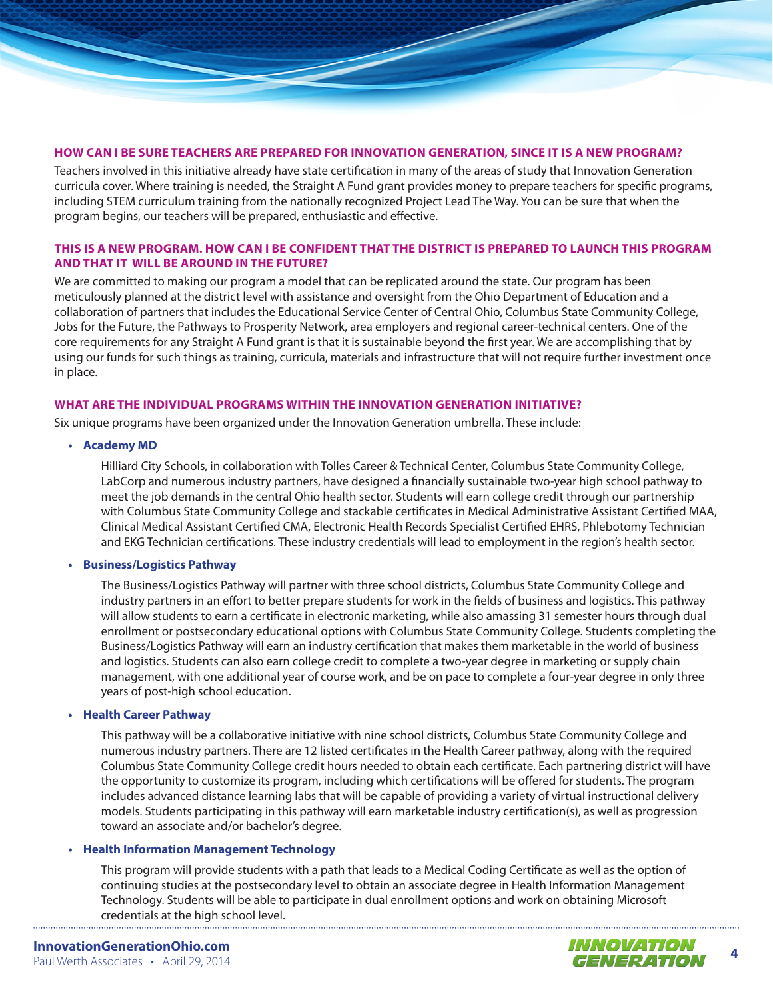

#### **HOW CAN I BE SURE TEACHERS ARE PREPARED FOR INNOVATION GENERATION, SINCE IT IS A NEW PROGRAM?**

Teachers involved in this initiative already have state certification in many of the areas of study that Innovation Generation curricula cover. Where training is needed, the Straight A Fund grant provides money to prepare teachers for specific programs, including STEM curriculum training from the nationally recognized Project Lead The Way. You can be sure that when the program begins, our teachers will be prepared, enthusiastic and effective.

## **THIS IS A NEW PROGRAM. HOW CAN I BE CONFIDENT THAT THE DISTRICT IS PREPARED TO LAUNCH THIS PROGRAM AND THAT IT WILL BE AROUND IN THE FUTURE?**

We are committed to making our program a model that can be replicated around the state. Our program has been meticulously planned at the district level with assistance and oversight from the Ohio Department of Education and a collaboration of partners that includes the Educational Service Center of Central Ohio, Columbus State Community College, Jobs for the Future, the Pathways to Prosperity Network, area employers and regional career-technical centers. One of the core requirements for any Straight A Fund grant is that it is sustainable beyond the first year. We are accomplishing that by using our funds for such things as training, curricula, materials and infrastructure that will not require further investment once in place.

#### **WHAT ARE THE INDIVIDUAL PROGRAMS WITHIN THE INNOVATION GENERATION INITIATIVE?**

Six unique programs have been organized under the Innovation Generation umbrella. These include:

**• Academy MD**

Hilliard City Schools, in collaboration with Tolles Career & Technical Center, Columbus State Community College, LabCorp and numerous industry partners, have designed a financially sustainable two-year high school pathway to meet the job demands in the central Ohio health sector. Students will earn college credit through our partnership with Columbus State Community College and stackable certificates in Medical Administrative Assistant Certified MAA, Clinical Medical Assistant Certified CMA, Electronic Health Records Specialist Certified EHRS, Phlebotomy Technician and EKG Technician certifications. These industry credentials will lead to employment in the region's health sector.

## **• Business/Logistics Pathway**

The Business/Logistics Pathway will partner with three school districts, Columbus State Community College and industry partners in an effort to better prepare students for work in the fields of business and logistics. This pathway will allow students to earn a certificate in electronic marketing, while also amassing 31 semester hours through dual enrollment or postsecondary educational options with Columbus State Community College. Students completing the Business/Logistics Pathway will earn an industry certification that makes them marketable in the world of business and logistics. Students can also earn college credit to complete a two-year degree in marketing or supply chain management, with one additional year of course work, and be on pace to complete a four-year degree in only three years of post-high school education.

#### **• Health Career Pathway**

This pathway will be a collaborative initiative with nine school districts, Columbus State Community College and numerous industry partners. There are 12 listed certificates in the Health Career pathway, along with the required Columbus State Community College credit hours needed to obtain each certificate. Each partnering district will have the opportunity to customize its program, including which certifications will be offered for students. The program includes advanced distance learning labs that will be capable of providing a variety of virtual instructional delivery models. Students participating in this pathway will earn marketable industry certification(s), as well as progression toward an associate and/or bachelor's degree.

#### **• Health Information Management Technology**

This program will provide students with a path that leads to a Medical Coding Certificate as well as the option of continuing studies at the postsecondary level to obtain an associate degree in Health Information Management Technology. Students will be able to participate in dual enrollment options and work on obtaining Microsoft credentials at the high school level.